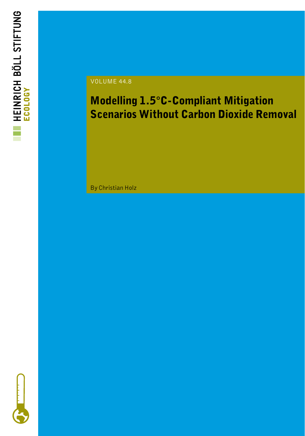

#### VOLUME 44.8

### Modelling 1.5°C-Compliant Mitigation Scenarios Without Carbon Dioxide Removal

By Christian Holz

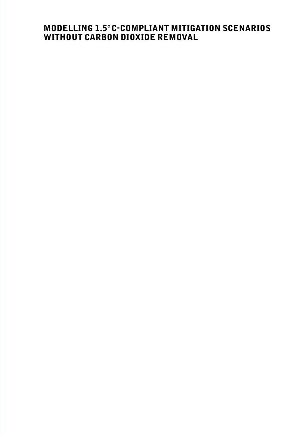#### MODELLING 1.5°C-COMPLIANT MITIGATION SCENARIOS WITHOUT CARBON DIOXIDE REMOVAL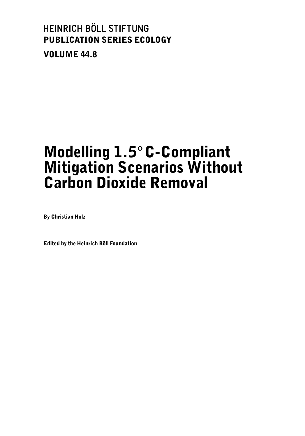### HEINRICH BÖLL STIFTUNG PUBLICATION SERIES ECOLOGY VOLUME 44.8

## Modelling 1.5°C-Compliant Mitigation Scenarios Without Carbon Dioxide Removal

By Christian Holz

Edited by the Heinrich Böll Foundation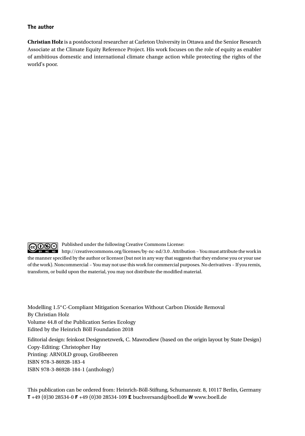#### The author

**Christian Holz** is a postdoctoral researcher at Carleton University in Ottawa and the Senior Research Associate at the Climate Equity Reference Project. His work focuses on the role of equity as enabler of ambitious domestic and international climate change action while protecting the rights of the world's poor.

 $\overline{$  @  $\overline{0}$   $\overline{0}$   $\overline{0}$ Published under the following Creative Commons License:

http://creativecommons.org/licenses/by-nc-nd/3.0 . Attribution – You must attribute the work in the manner specified by the author or licensor (but not in any way that suggests that they endorse you or your use of the work). Noncommercial – You may not use this work for commercial purposes. No derivatives – If you remix, transform, or build upon the material, you may not distribute the modified material.

Modelling 1.5°C-Compliant Mitigation Scenarios Without Carbon Dioxide Removal By Christian Holz Volume 44.8 of the Publication Series Ecology Edited by the Heinrich Böll Foundation 2018

Editorial design: feinkost Designnetzwerk, C. Mawrodiew (based on the origin layout by State Design) Copy-Editing: Christopher Hay Printing: ARNOLD group, Großbeeren ISBN 978-3-86928-183-4 ISBN 978-3-86928-184-1 (anthology)

This publication can be ordered from: Heinrich-Böll-Stiftung, Schumannstr. 8, 10117 Berlin, Germany T +49 (0)30 28534-0 F +49 (0)30 28534-109 E buchversand@boell.de W www.boell.de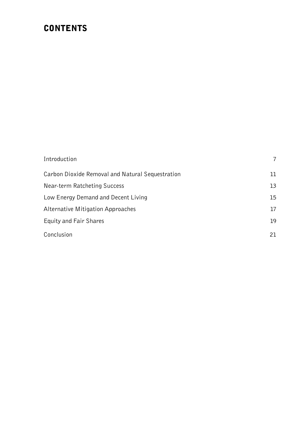### **CONTENTS**

| Introduction                                     | 7  |
|--------------------------------------------------|----|
| Carbon Dioxide Removal and Natural Sequestration | 11 |
| Near-term Ratcheting Success                     | 13 |
| Low Energy Demand and Decent Living              | 15 |
| Alternative Mitigation Approaches                | 17 |
| Equity and Fair Shares                           | 19 |
| Conclusion                                       | 21 |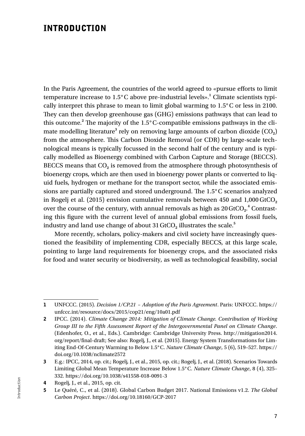### INTRODUCTION

In the Paris Agreement, the countries of the world agreed to «pursue efforts to limit temperature increase to 1.5°C above pre-industrial levels».**<sup>1</sup>** Climate scientists typically interpret this phrase to mean to limit global warming to 1.5°C or less in 2100. They can then develop greenhouse gas (GHG) emissions pathways that can lead to this outcome.**<sup>2</sup>** The majority of the 1.5°C-compatible emissions pathways in the climate modelling literature<sup>3</sup> rely on removing large amounts of carbon dioxide (CO<sub>2</sub>) from the atmosphere. This Carbon Dioxide Removal (or CDR) by large-scale technological means is typically focussed in the second half of the century and is typically modelled as Bioenergy combined with Carbon Capture and Storage (BECCS). BECCS means that CO**2** is removed from the atmosphere through photosynthesis of bioenergy crops, which are then used in bioenergy power plants or converted to liquid fuels, hydrogen or methane for the transport sector, while the associated emissions are partially captured and stored underground. The 1.5°C scenarios analyzed in Rogelj et al. (2015) envision cumulative removals between 450 and 1,000 GtCO<sub>2</sub> over the course of the century, with annual removals as high as  $20\,\mathrm{GtCO}_{2}$ . $^4$  Contrasting this figure with the current level of annual global emissions from fossil fuels, industry and land use change of about 31 GtCO<sub>2</sub> illustrates the scale.<sup>5</sup>

More recently, scholars, policy-makers and civil society have increasingly questioned the feasibility of implementing CDR, especially BECCS, at this large scale, pointing to large land requirements for bioenergy crops, and the associated risks for food and water security or biodiversity, as well as technological feasibility, social

<sup>1</sup> UNFCCC. (2015). *Decision 1/CP.21 – Adoption of the Paris Agreement*. Paris: UNFCCC. https:// unfccc.int/resource/docs/2015/cop21/eng/10a01.pdf

<sup>2</sup> IPCC. (2014). *Climate Change 2014: Mitigation of Climate Change. Contribution of Working Group III to the Fifth Assessment Report of the Intergovernmental Panel on Climate Change*. (Edenhofer, O., et al., Eds.). Cambridge: Cambridge University Press. http://mitigation2014. org/report/final-draft; See also: Rogelj, J., et al. (2015). Energy System Transformations for Limiting End-Of-Century Warming to Below 1.5°C. *Nature Climate Change*, 5 (6), 519–527. https:// doi.org/10.1038/nclimate2572

<sup>3</sup> E.g.: IPCC, 2014, op. cit.; Rogelj, J., et al., 2015, op. cit.; Rogelj, J., et al. (2018). Scenarios Towards Limiting Global Mean Temperature Increase Below 1.5°C. *Nature Climate Change*, 8 (4), 325– 332. https://doi.org/10.1038/s41558-018-0091-3

<sup>4</sup> Rogelj, J., et al., 2015, op. cit.

<sup>5</sup> Le Quéré, C., et al. (2018). Global Carbon Budget 2017. National Emissions v1.2. *The Global Carbon Project*. https://doi.org/10.18160/GCP-2017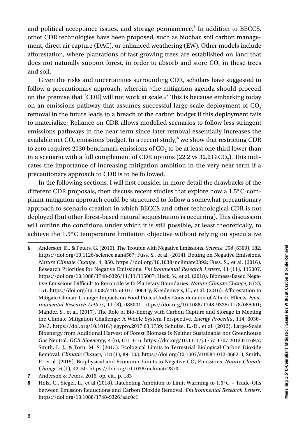and political acceptance issues, and storage permanence.**<sup>6</sup>** In addition to BECCS, other CDR technologies have been proposed, such as biochar, soil carbon management, direct air capture (DAC), or enhanced weathering (EW). Other models include afforestation, where plantations of fast-growing trees are established on land that does not naturally support forest, in order to absorb and store  $CO<sub>2</sub>$  in these trees and soil.

Given the risks and uncertainties surrounding CDR, scholars have suggested to follow a precautionary approach, wherein «the mitigation agenda should proceed on the premise that [CDR] will not work at scale.»**<sup>7</sup>** This is because embarking today on an emissions pathway that assumes successful large-scale deployment of CO**<sup>2</sup>** removal in the future leads to a breach of the carbon budget if this deployment fails to materialize: Reliance on CDR allows modelled scenarios to follow less stringent emissions pathways in the near term since later removal essentially increases the available net  $\mathrm{CO}_2$  emissions budget. In a recent study, $^8$  we show that restricting CDR to zero requires 2030 benchmark emissions of  $CO<sub>2</sub>$  to be at least one third lower than in a scenario with a full complement of CDR options (22.2 vs 32.2GtCO**2**). This indicates the importance of increasing mitigation ambition in the very near term if a precautionary approach to CDR is to be followed.

In the following sections, I will first consider in more detail the drawbacks of the different CDR proposals, then discuss recent studies that explore how a 1.5°C-compliant mitigation approach could be structured to follow a somewhat precautionary approach to scenario creation in which BECCS and other technological CDR is not deployed (but other forest-based natural sequestration is occurring). This discussion will outline the conditions under which it is still possible, at least theoretically, to achieve the 1.5°C temperature limitation objective without relying on speculative

<sup>6</sup> Anderson, K., & Peters, G. (2016). The Trouble with Negative Emissions. *Science, 354* (6309), 182. https://doi.org/10.1126/science.aah4567; Fuss, S., et al. (2014). Betting on Negative Emissions. *Nature Climate Change*, 4, 850. https://doi.org/10.1038/nclimate2392; Fuss, S., et al. (2016). Research Priorities for Negative Emissions. *Environmental Research Letters*, 11 (11), 115007. https://doi.org/10.1088/1748-9326/11/11/115007; Heck, V., et al. (2018). Biomass-Based Negative Emissions Difficult to Reconcile with Planetary Boundaries. *Nature Climate Change*, 8 (2), 151. https://doi.org/10.1038/s41558-017-0064-y; Kreidenweis, U., et al. (2016). Afforestation to Mitigate Climate Change: Impacts on Food Prices Under Consideration of Albedo Effects. *Environmental Research Letters*, 11 (8), 085001. https://doi.org/10.1088/1748-9326/11/8/085001; Mander, S., et al. (2017). The Role of Bio-Energy with Carbon Capture and Storage in Meeting the Climate Mitigation Challenge: A Whole System Perspective. *Energy Procedia*, 114, 6036– 6043. https://doi.org/10.1016/j.egypro.2017.03.1739; Schulze, E.-D., et al. (2012). Large-Scale Bioenergy from Additional Harvest of Forest Biomass Is Neither Sustainable nor Greenhouse Gas Neutral. *GCB Bioenergy*, 4 (6), 611–616. https://doi.org/10.1111/j.1757-1707.2012.01169.x; Smith, L. J., & Torn, M. S. (2013). Ecological Limits to Terrestrial Biological Carbon Dioxide Removal. *Climatic Change*, 118 (1), 89–103. https://doi.org/10.1007/s10584-012-0682-3; Smith, P., et al. (2015). Biophysical and Economic Limits to Negative CO<sub>2</sub> Emissions. *Nature Climate Change*, 6 (1), 42–50. https://doi.org/10.1038/nclimate2870

<sup>7</sup> Anderson & Peters, 2016, op. cit., p. 183

<sup>8</sup> Holz, C., Siegel, L., et al (2018). Ratcheting Ambition to Limit Warming to  $1.5^{\circ}$ C - Trade-Offs between Emission Reductions and Carbon Dioxide Removal. *Environmental Research Letters*. https://doi.org/10.1088/1748-9326/aac0c1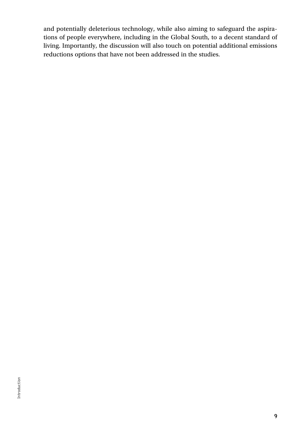and potentially deleterious technology, while also aiming to safeguard the aspirations of people everywhere, including in the Global South, to a decent standard of living. Importantly, the discussion will also touch on potential additional emissions reductions options that have not been addressed in the studies.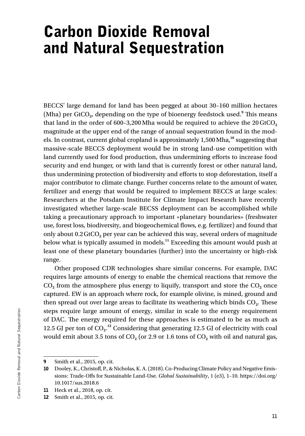## Carbon Dioxide Removal and Natural Sequestration

BECCS' large demand for land has been pegged at about 30–160 million hectares (Mha) per GtCO<sub>2</sub>, depending on the type of bioenergy feedstock used.<sup>9</sup> This means that land in the order of 600-3,200 Mha would be required to achieve the 20 GtCO<sub>2</sub> magnitude at the upper end of the range of annual sequestration found in the models. In contrast, current global cropland is approximately 1,500Mha,**<sup>10</sup>** suggesting that massive-scale BECCS deployment would be in strong land-use competition with land currently used for food production, thus undermining efforts to increase food security and end hunger, or with land that is currently forest or other natural land, thus undermining protection of biodiversity and efforts to stop deforestation, itself a major contributor to climate change. Further concerns relate to the amount of water, fertilizer and energy that would be required to implement BECCS at large scales: Researchers at the Potsdam Institute for Climate Impact Research have recently investigated whether large-scale BECSS deployment can be accomplished while taking a precautionary approach to important «planetary boundaries» (freshwater use, forest loss, biodiversity, and biogeochemical flows, e.g. fertilizer) and found that only about 0.2GtCO**2** per year can be achieved this way, several orders of magnitude below what is typically assumed in models.**<sup>11</sup>** Exceeding this amount would push at least one of these planetary boundaries (further) into the uncertainty or high-risk range.

Other proposed CDR technologies share similar concerns. For example, DAC requires large amounts of energy to enable the chemical reactions that remove the  $CO<sub>2</sub>$  from the atmosphere plus energy to liquify, transport and store the  $CO<sub>2</sub>$  once captured. EW is an approach where rock, for example olivine, is mined, ground and then spread out over large areas to facilitate its weathering which binds CO**2**. These steps require large amount of energy, similar in scale to the energy requirement of DAC. The energy required for these approaches is estimated to be as much as 12.5 GJ per ton of CO<sub>2</sub>.<sup>12</sup> Considering that generating 12.5 GJ of electricity with coal would emit about 3.5 tons of  $CO<sub>2</sub>$  (or 2.9 or 1.6 tons of  $CO<sub>2</sub>$  with oil and natural gas,

<sup>9</sup> Smith et al., 2015, op. cit.

<sup>10</sup> Dooley, K., Christoff, P., & Nicholas, K. A. (2018). Co-Producing Climate Policy and Negative Emissions: Trade-Offs for Sustainable Land-Use. *Global Sustainability*, 1 (e3), 1–10. https://doi.org/ 10.1017/sus.2018.6

<sup>11</sup> Heck et al., 2018, op. cit.

<sup>12</sup> Smith et al., 2015, op. cit.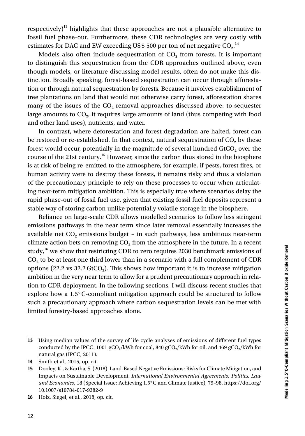respectively)**<sup>13</sup>** highlights that these approaches are not a plausible alternative to fossil fuel phase-out. Furthermore, these CDR technologies are very costly with estimates for DAC and EW exceeding US\$ 500 per ton of net negative  $CO_2$ .<sup>14</sup>

Models also often include sequestration of CO<sub>2</sub> from forests. It is important to distinguish this sequestration from the CDR approaches outlined above, even though models, or literature discussing model results, often do not make this distinction. Broadly speaking, forest-based sequestration can occur through afforestation or through natural sequestration by forests. Because it involves establishment of tree plantations on land that would not otherwise carry forest, afforestation shares many of the issues of the CO<sub>2</sub> removal approaches discussed above: to sequester large amounts to CO**2**, it requires large amounts of land (thus competing with food and other land uses), nutrients, and water.

In contrast, where deforestation and forest degradation are halted, forest can be restored or re-established. In that context, natural sequestration of  $CO<sub>2</sub>$  by these forest would occur, potentially in the magnitude of several hundred GtCO<sub>2</sub> over the course of the 21st century.**<sup>15</sup>** However, since the carbon thus stored in the biosphere is at risk of being re-emitted to the atmosphere, for example, if pests, forest fires, or human activity were to destroy these forests, it remains risky and thus a violation of the precautionary principle to rely on these processes to occur when articulating near-term mitigation ambition. This is especially true where scenarios delay the rapid phase-out of fossil fuel use, given that existing fossil fuel deposits represent a stable way of storing carbon unlike potentially volatile storage in the biosphere.

Reliance on large-scale CDR allows modelled scenarios to follow less stringent emissions pathways in the near term since later removal essentially increases the available net CO**2** emissions budget – in such pathways, less ambitious near-term climate action bets on removing CO**2** from the atmosphere in the future. In a recent study,**<sup>16</sup>** we show that restricting CDR to zero requires 2030 benchmark emissions of CO**2** to be at least one third lower than in a scenario with a full complement of CDR options (22.2 vs 32.2 GtCO**2**). This shows how important it is to increase mitigation ambition in the very near term to allow for a prudent precautionary approach in relation to CDR deployment. In the following sections, I will discuss recent studies that explore how a 1.5°C-compliant mitigation approach could be structured to follow such a precautionary approach where carbon sequestration levels can be met with limited forestry-based approaches alone.

<sup>13</sup> Using median values of the survey of life cycle analyses of emissions of different fuel types conducted by the IPCC: 1001 gCO**2**/kWh for coal, 840 gCO**2**/kWh for oil, and 469 gCO**2**/kWh for natural gas (IPCC, 2011).

<sup>14</sup> Smith et al., 2015, op. cit.

<sup>15</sup> Dooley, K., & Kartha, S. (2018). Land-Based Negative Emissions: Risks for Climate Mitigation, and Impacts on Sustainable Development. *International Environmental Agreements: Politics, Law and Economics*, 18 (Special Issue: Achieving 1.5°C and Climate Justice), 79–98. https://doi.org/ 10.1007/s10784-017-9382-9

<sup>16</sup> Holz, Siegel, et al., 2018, op. cit.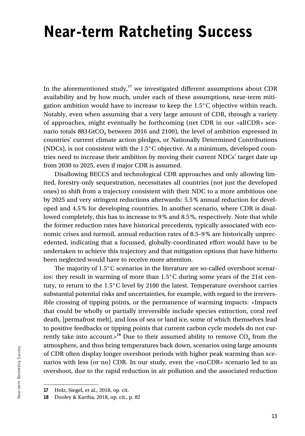# Near-term Ratcheting Success

In the aforementioned study,<sup>17</sup> we investigated different assumptions about CDR availability and by how much, under each of these assumptions, near-term mitigation ambition would have to increase to keep the 1.5°C objective within reach. Notably, even when assuming that a very large amount of CDR, through a variety of approaches, might eventually be forthcoming (net CDR in our «allCDR» scenario totals 883GtCO**2** between 2016 and 2100), the level of ambition expressed in countries' current climate action pledges, or Nationally Determined Contributions (NDCs), is not consistent with the 1.5°C objective. At a minimum, developed countries need to increase their ambition by moving their current NDCs' target date up from 2030 to 2025, even if major CDR is assumed.

Disallowing BECCS and technological CDR approaches and only allowing limited, forestry-only sequestration, necessitates all countries (not just the developed ones) to shift from a trajectory consistent with their NDC to a more ambitious one by 2025 and very stringent reductions afterwards: 5.5% annual reduction for developed and 4.5% for developing countries. In another scenario, where CDR is disallowed completely, this has to increase to 9% and 8.5%, respectively. Note that while the former reduction rates have historical precedents, typically associated with economic crises and turmoil, annual reduction rates of 8.5–9% are historically unprecedented, indicating that a focussed, globally-coordinated effort would have to be undertaken to achieve this trajectory and that mitigation options that have hitherto been neglected would have to receive more attention.

The majority of 1.5°C scenarios in the literature are so-called overshoot scenarios: they result in warming of more than 1.5°C during some years of the 21st century, to return to the 1.5°C level by 2100 the latest. Temperature overshoot carries substantial potential risks and uncertainties, for example, with regard to the irreversible crossing of tipping points, or the permanence of warming impacts: «Impacts that could be wholly or partially irreversible include species extinction, coral reef death, [permafrost melt], and loss of sea or land ice, some of which themselves lead to positive feedbacks or tipping points that current carbon cycle models do not currently take into account.»<sup>18</sup> Due to their assumed ability to remove  $CO<sub>2</sub>$  from the atmosphere, and thus bring temperatures back down, scenarios using large amounts of CDR often display longer overshoot periods with higher peak warming than scenarios with less (or no) CDR. In our study, even the «noCDR» scenario led to an overshoot, due to the rapid reduction in air pollution and the associated reduction

<sup>17</sup> Holz, Siegel, et al., 2018, op. cit.

<sup>18</sup> Dooley & Kartha, 2018, op. cit., p. 82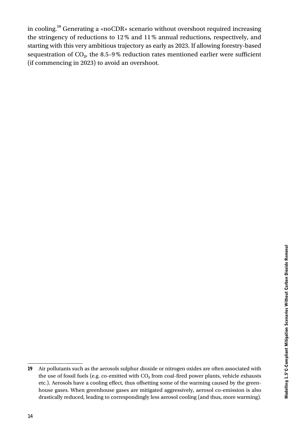in cooling.**<sup>19</sup>** Generating a «noCDR» scenario without overshoot required increasing the stringency of reductions to 12% and 11% annual reductions, respectively, and starting with this very ambitious trajectory as early as 2023. If allowing forestry-based sequestration of  $CO<sub>2</sub>$ , the 8.5-9% reduction rates mentioned earlier were sufficient (if commencing in 2023) to avoid an overshoot.

<sup>19</sup> Air pollutants such as the aerosols sulphur dioxide or nitrogen oxides are often associated with the use of fossil fuels (e.g. co-emitted with CO**2** from coal-fired power plants, vehicle exhausts etc.). Aerosols have a cooling effect, thus offsetting some of the warming caused by the greenhouse gases. When greenhouse gases are mitigated aggressively, aerosol co-emission is also drastically reduced, leading to correspondingly less aerosol cooling (and thus, more warming).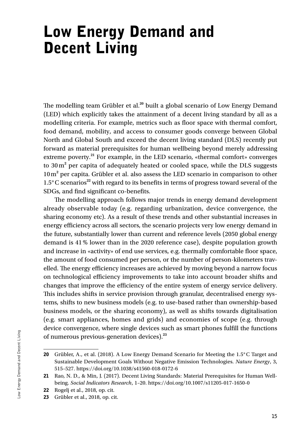## Low Energy Demand and Decent Living

The modelling team Grübler et al.**<sup>20</sup>** built a global scenario of Low Energy Demand (LED) which explicitly takes the attainment of a decent living standard by all as a modelling criteria. For example, metrics such as floor space with thermal comfort, food demand, mobility, and access to consumer goods converge between Global North and Global South and exceed the decent living standard (DLS) recently put forward as material prerequisites for human wellbeing beyond merely addressing extreme poverty.**<sup>21</sup>** For example, in the LED scenario, «thermal comfort» converges to 30 m<sup>2</sup> per capita of adequately heated or cooled space, while the DLS suggests 10m**<sup>2</sup>** per capita. Grübler et al. also assess the LED scenario in comparison to other 1.5°C scenarios**<sup>22</sup>** with regard to its benefits in terms of progress toward several of the SDGs, and find significant co-benefits.

The modelling approach follows major trends in energy demand development already observable today (e.g. regarding urbanization, device convergence, the sharing economy etc). As a result of these trends and other substantial increases in energy efficiency across all sectors, the scenario projects very low energy demand in the future, substantially lower than current and reference levels (2050 global energy demand is 41% lower than in the 2020 reference case), despite population growth and increase in «activity» of end use services, e.g. thermally comfortable floor space, the amount of food consumed per person, or the number of person-kilometers travelled. The energy efficiency increases are achieved by moving beyond a narrow focus on technological efficiency improvements to take into account broader shifts and changes that improve the efficiency of the entire system of energy service delivery. This includes shifts in service provision through granular, decentralised energy systems, shifts to new business models (e.g. to use-based rather than ownership-based business models, or the sharing economy), as well as shifts towards digitalisation (e.g. smart appliances, homes and grids) and economies of scope (e.g. through device convergence, where single devices such as smart phones fulfill the functions of numerous previous-generation devices).**<sup>23</sup>**

<sup>20</sup> Grübler, A., et al. (2018). A Low Energy Demand Scenario for Meeting the 1.5°C Target and Sustainable Development Goals Without Negative Emission Technologies. *Nature Energy*, 3, 515–527. https://doi.org/10.1038/s41560-018-0172-6

<sup>21</sup> Rao, N. D., & Min, J. (2017). Decent Living Standards: Material Prerequisites for Human Wellbeing. *Social Indicators Research*, 1–20. https://doi.org/10.1007/s11205-017-1650-0

<sup>22</sup> Rogelj et al., 2018, op. cit.

<sup>23</sup> Grübler et al., 2018, op. cit.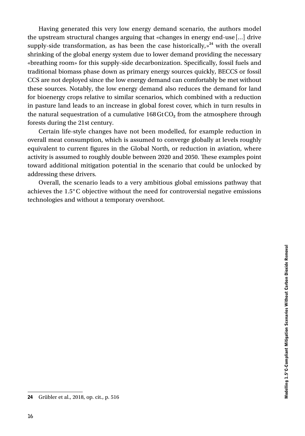Having generated this very low energy demand scenario, the authors model the upstream structural changes arguing that «changes in energy end-use […] drive supply-side transformation, as has been the case historically,» **<sup>24</sup>** with the overall shrinking of the global energy system due to lower demand providing the necessary «breathing room» for this supply-side decarbonization. Specifically, fossil fuels and traditional biomass phase down as primary energy sources quickly, BECCS or fossil CCS are not deployed since the low energy demand can comfortably be met without these sources. Notably, the low energy demand also reduces the demand for land for bioenergy crops relative to similar scenarios, which combined with a reduction in pasture land leads to an increase in global forest cover, which in turn results in the natural sequestration of a cumulative 168GtCO**2** from the atmosphere through forests during the 21st century.

Certain life-style changes have not been modelled, for example reduction in overall meat consumption, which is assumed to converge globally at levels roughly equivalent to current figures in the Global North, or reduction in aviation, where activity is assumed to roughly double between 2020 and 2050. These examples point toward additional mitigation potential in the scenario that could be unlocked by addressing these drivers.

Overall, the scenario leads to a very ambitious global emissions pathway that achieves the 1.5°C objective without the need for controversial negative emissions technologies and without a temporary overshoot.

<sup>24</sup> Grübler et al., 2018, op. cit., p. 516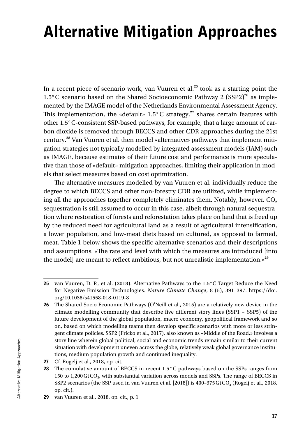# Alternative Mitigation Approaches

In a recent piece of scenario work, van Vuuren et al.**<sup>25</sup>** took as a starting point the 1.5°C scenario based on the Shared Socioeconomic Pathway 2 (SSP2)**<sup>26</sup>** as implemented by the IMAGE model of the Netherlands Environmental Assessment Agency. This implementation, the «default» 1.5°C strategy,<sup>27</sup> shares certain features with other 1.5°C-consistent SSP-based pathways, for example, that a large amount of carbon dioxide is removed through BECCS and other CDR approaches during the 21st century.**<sup>28</sup>** Van Vuuren et al. then model «alternative» pathways that implement mitigation strategies not typically modelled by integrated assessment models (IAM) such as IMAGE, because estimates of their future cost and performance is more speculative than those of «default» mitigation approaches, limiting their application in models that select measures based on cost optimization.

The alternative measures modelled by van Vuuren et al. individually reduce the degree to which BECCS and other non-forestry CDR are utilized, while implementing all the approaches together completely eliminates them. Notably, however, CO<sub>2</sub> sequestration is still assumed to occur in this case, albeit through natural sequestration where restoration of forests and reforestation takes place on land that is freed up by the reduced need for agricultural land as a result of agricultural intensification, a lower population, and low-meat diets based on cultured, as opposed to farmed, meat. Table 1 below shows the specific alternative scenarios and their descriptions and assumptions. «The rate and level with which the measures are introduced [into the model] are meant to reflect ambitious, but not unrealistic implementation.»**<sup>29</sup>**

<sup>25</sup> van Vuuren, D. P., et al. (2018). Alternative Pathways to the 1.5°C Target Reduce the Need for Negative Emission Technologies. *Nature Climate Change*, 8 (5), 391–397. https://doi. org/10.1038/s41558-018-0119-8

<sup>26</sup> The Shared Socio Economic Pathways (O'Neill et al., 2015) are a relatively new device in the climate modelling community that describe five different story lines (SSP1 – SSP5) of the future development of the global population, macro economy, geopolitical framework and so on, based on which modelling teams then develop specific scenarios with more or less stringent climate policies. SSP2 (Fricko et al., 2017), also known as «Middle of the Road,» involves a story line wherein global political, social and economic trends remain similar to their current situation with development uneven across the globe, relatively weak global governance institutions, medium population growth and continued inequality.

<sup>27</sup> Cf. Rogelj et al., 2018, op. cit.

<sup>28</sup> The cumulative amount of BECCS in recent 1.5 °C pathways based on the SSPs ranges from 150 to 1,200GtCO**2**, with substantial variation across models and SSPs. The range of BECCS in SSP2 scenarios (the SSP used in van Vuuren et al. [2018]) is 400–975GtCO**2** (Rogelj et al., 2018. op. cit.).

<sup>29</sup> van Vuuren et al., 2018, op. cit., p. 1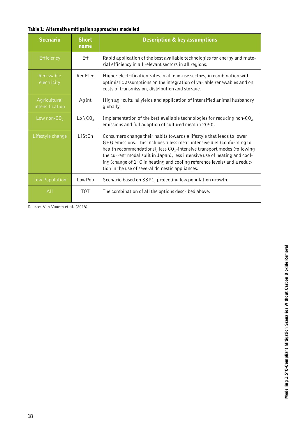#### Table 1: Alternative mitigation approaches modelled

| <b>Scenario</b>                 | <b>Short</b><br>name | <b>Description &amp; key assumptions</b>                                                                                                                                                                                                                                                                                                                                                                                                            |
|---------------------------------|----------------------|-----------------------------------------------------------------------------------------------------------------------------------------------------------------------------------------------------------------------------------------------------------------------------------------------------------------------------------------------------------------------------------------------------------------------------------------------------|
| Efficiency                      | Eff                  | Rapid application of the best available technologies for energy and mate-<br>rial efficiency in all relevant sectors in all regions.                                                                                                                                                                                                                                                                                                                |
| Renewable<br>electricity        | Ren Elec             | Higher electrification rates in all end-use sectors, in combination with<br>optimistic assumptions on the integration of variable renewables and on<br>costs of transmission, distribution and storage.                                                                                                                                                                                                                                             |
| Agricultural<br>intensification | AgInt                | High agricultural yields and application of intensified animal husbandry<br>globally.                                                                                                                                                                                                                                                                                                                                                               |
| Low non- $CO2$                  | LoNCO <sub>2</sub>   | Implementation of the best available technologies for reducing non-CO <sub>2</sub><br>emissions and full adoption of cultured meat in 2050.                                                                                                                                                                                                                                                                                                         |
| Lifestyle change                | ListCh               | Consumers change their habits towards a lifestyle that leads to lower<br>GHG emissions. This includes a less meat-intensive diet (conforming to<br>health recommendations), less $CO2$ -intensive transport modes (following<br>the current modal split in Japan), less intensive use of heating and cool-<br>ing (change of $1^{\circ}$ C in heating and cooling reference levels) and a reduc-<br>tion in the use of several domestic appliances. |
| Low Population                  | Low Pop              | Scenario based on SSP1, projecting low population growth.                                                                                                                                                                                                                                                                                                                                                                                           |
| AII                             | T <sub>0</sub> T     | The combination of all the options described above.                                                                                                                                                                                                                                                                                                                                                                                                 |

Source: Van Vuuren et al. (2018).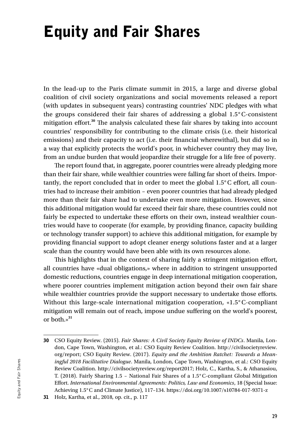# Equity and Fair Shares

In the lead-up to the Paris climate summit in 2015, a large and diverse global coalition of civil society organizations and social movements released a report (with updates in subsequent years) contrasting countries' NDC pledges with what the groups considered their fair shares of addressing a global 1.5°C-consistent mitigation effort.**<sup>30</sup>** The analysis calculated these fair shares by taking into account countries' responsibility for contributing to the climate crisis (i.e. their historical emissions) and their capacity to act (i.e. their financial wherewithal), but did so in a way that explicitly protects the world's poor, in whichever country they may live, from an undue burden that would jeopardize their struggle for a life free of poverty.

The report found that, in aggregate, poorer countries were already pledging more than their fair share, while wealthier countries were falling far short of theirs. Importantly, the report concluded that in order to meet the global 1.5°C effort, all countries had to increase their ambition – even poorer countries that had already pledged more than their fair share had to undertake even more mitigation. However, since this additional mitigation would far exceed their fair share, these countries could not fairly be expected to undertake these efforts on their own, instead wealthier countries would have to cooperate (for example, by providing finance, capacity building or technology transfer support) to achieve this additional mitigation, for example by providing financial support to adopt cleaner energy solutions faster and at a larger scale than the country would have been able with its own resources alone.

This highlights that in the context of sharing fairly a stringent mitigation effort, all countries have «dual obligations,» where in addition to stringent unsupported domestic reductions, countries engage in deep international mitigation cooperation, where poorer countries implement mitigation action beyond their own fair share while wealthier countries provide the support necessary to undertake those efforts. Without this large-scale international mitigation cooperation, «1.5°C-compliant mitigation will remain out of reach, impose undue suffering on the world's poorest, or both.»**<sup>31</sup>**

<sup>30</sup> CSO Equity Review. (2015). *Fair Shares: A Civil Society Equity Review of INDCs*. Manila, London, Cape Town, Washington, et al.: CSO Equity Review Coalition. http://civilsocietyreview. org/report; CSO Equity Review. (2017). *Equity and the Ambition Ratchet: Towards a Meaningful 2018 Facilitative Dialogue*. Manila, London, Cape Town, Washington, et al.: CSO Equity Review Coalition. http://civilsocietyreview.org/report2017; Holz, C., Kartha, S., & Athanasiou, T. (2018). Fairly Sharing 1.5 – National Fair Shares of a 1.5°C-compliant Global Mitigation Effort. *International Environmental Agreements: Politics, Law and Economics*, 18 (Special Issue: Achieving 1.5°C and Climate Justice), 117–134. https://doi.org/10.1007/s10784-017-9371-z

<sup>31</sup> Holz, Kartha, et al., 2018, op. cit., p. 117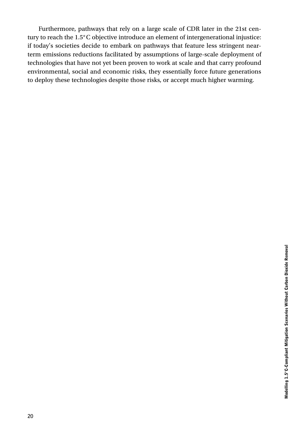Furthermore, pathways that rely on a large scale of CDR later in the 21st century to reach the 1.5°C objective introduce an element of intergenerational injustice: if today's societies decide to embark on pathways that feature less stringent nearterm emissions reductions facilitated by assumptions of large-scale deployment of technologies that have not yet been proven to work at scale and that carry profound environmental, social and economic risks, they essentially force future generations to deploy these technologies despite those risks, or accept much higher warming.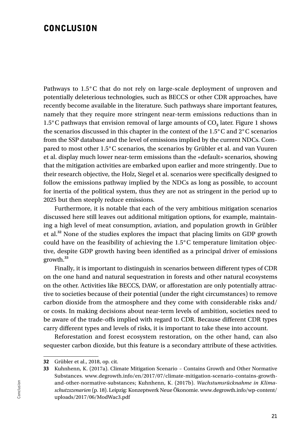#### **CONCLUSION**

Pathways to 1.5°C that do not rely on large-scale deployment of unproven and potentially deleterious technologies, such as BECCS or other CDR approaches, have recently become available in the literature. Such pathways share important features, namely that they require more stringent near-term emissions reductions than in 1.5°C pathways that envision removal of large amounts of CO**2** later. Figure 1 shows the scenarios discussed in this chapter in the context of the 1.5°C and 2°C scenarios from the SSP database and the level of emissions implied by the current NDCs. Compared to most other 1.5°C scenarios, the scenarios by Grübler et al. and van Vuuren et al. display much lower near-term emissions than the «default» scenarios, showing that the mitigation activities are embarked upon earlier and more stringently. Due to their research objective, the Holz, Siegel et al. scenarios were specifically designed to follow the emissions pathway implied by the NDCs as long as possible, to account for inertia of the political system, thus they are not as stringent in the period up to 2025 but then steeply reduce emissions.

Furthermore, it is notable that each of the very ambitious mitigation scenarios discussed here still leaves out additional mitigation options, for example, maintaining a high level of meat consumption, aviation, and population growth in Grübler et al.**<sup>32</sup>** None of the studies explores the impact that placing limits on GDP growth could have on the feasibility of achieving the  $1.5^{\circ}$ C temperature limitation objective, despite GDP growth having been identified as a principal driver of emissions growth.**<sup>33</sup>**

Finally, it is important to distinguish in scenarios between different types of CDR on the one hand and natural sequestration in forests and other natural ecosystems on the other. Activities like BECCS, DAW, or afforestation are only potentially attractive to societies because of their potential (under the right circumstances) to remove carbon dioxide from the atmosphere and they come with considerable risks and/ or costs. In making decisions about near-term levels of ambition, societies need to be aware of the trade-offs implied with regard to CDR. Because different CDR types carry different types and levels of risks, it is important to take these into account.

Reforestation and forest ecosystem restoration, on the other hand, can also sequester carbon dioxide, but this feature is a secondary attribute of these activities.

<sup>32</sup> Grübler et al., 2018, op. cit.

<sup>33</sup> Kuhnhenn, K. (2017a). Climate Mitigation Scenario – Contains Growth and Other Normative Substances. www.degrowth.info/en/2017/07/climate-mitigation-scenario-contains-growthand-other-normative-substances; Kuhnhenn, K. (2017b). *Wachstumsrücknahme in Klimaschutzszenarien* (p. 18). Leipzig: Konzeptwerk Neue Ökonomie. www.degrowth.info/wp-content/ uploads/2017/06/ModWac3.pdf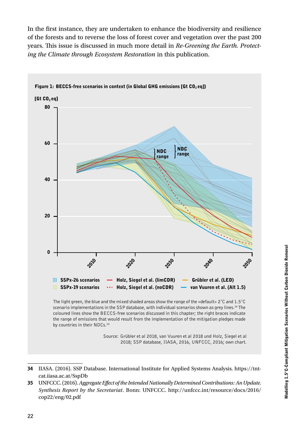In the first instance, they are undertaken to enhance the biodiversity and resilience of the forests and to reverse the loss of forest cover and vegetation over the past 200 years. This issue is discussed in much more detail in *Re-Greening the Earth. Protecting the Climate through Ecosystem Restoration* in this publication.



<sup>34</sup> IIASA. (2016). SSP Database. International Institute for Applied Systems Analysis. https://tntcat.iiasa.ac.at/SspDb

35 UNFCCC. (2016). *Aggregate Effect of the Intended Nationally Determined Contributions: An Update. Synthesis Report by the Secretariat*. Bonn: UNFCCC. http://unfccc.int/resource/docs/2016/ cop22/eng/02.pdf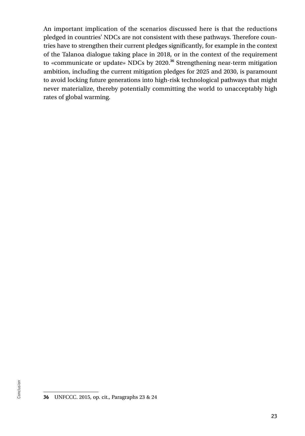An important implication of the scenarios discussed here is that the reductions pledged in countries' NDCs are not consistent with these pathways. Therefore countries have to strengthen their current pledges significantly, for example in the context of the Talanoa dialogue taking place in 2018, or in the context of the requirement to «communicate or update» NDCs by 2020.**<sup>36</sup>** Strengthening near-term mitigation ambition, including the current mitigation pledges for 2025 and 2030, is paramount to avoid locking future generations into high-risk technological pathways that might never materialize, thereby potentially committing the world to unacceptably high rates of global warming.

<sup>36</sup> UNFCCC. 2015, op. cit., Paragraphs 23 & 24